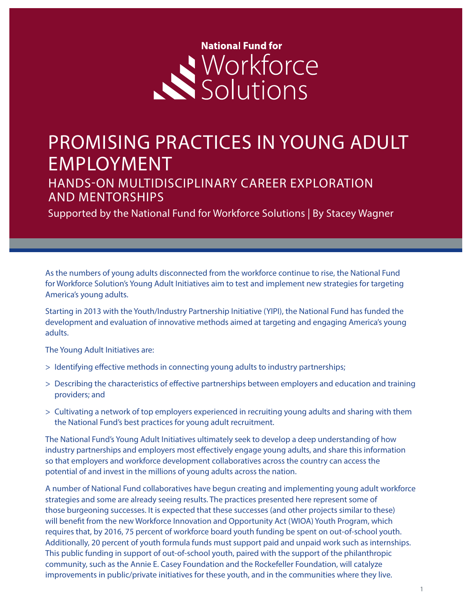# **National Fund for** Workforce

## PROMISING PRACTICES IN YOUNG ADULT EMPLOYMENT

HANDS-ON MULTIDISCIPLINARY CAREER EXPLORATION AND MENTORSHIPS

Supported by the National Fund for Workforce Solutions | By Stacey Wagner

As the numbers of young adults disconnected from the workforce continue to rise, the National Fund for Workforce Solution's Young Adult Initiatives aim to test and implement new strategies for targeting America's young adults.

Starting in 2013 with the Youth/Industry Partnership Initiative (YIPI), the National Fund has funded the development and evaluation of innovative methods aimed at targeting and engaging America's young adults.

The Young Adult Initiatives are:

- > Identifying effective methods in connecting young adults to industry partnerships;
- > Describing the characteristics of effective partnerships between employers and education and training providers; and
- > Cultivating a network of top employers experienced in recruiting young adults and sharing with them the National Fund's best practices for young adult recruitment.

The National Fund's Young Adult Initiatives ultimately seek to develop a deep understanding of how industry partnerships and employers most effectively engage young adults, and share this information so that employers and workforce development collaboratives across the country can access the potential of and invest in the millions of young adults across the nation.

A number of National Fund collaboratives have begun creating and implementing young adult workforce strategies and some are already seeing results. The practices presented here represent some of those burgeoning successes. It is expected that these successes (and other projects similar to these) will benefit from the new Workforce Innovation and Opportunity Act (WIOA) Youth Program, which requires that, by 2016, 75 percent of workforce board youth funding be spent on out-of-school youth. Additionally, 20 percent of youth formula funds must support paid and unpaid work such as internships. This public funding in support of out-of-school youth, paired with the support of the philanthropic community, such as the Annie E. Casey Foundation and the Rockefeller Foundation, will catalyze improvements in public/private initiatives for these youth, and in the communities where they live.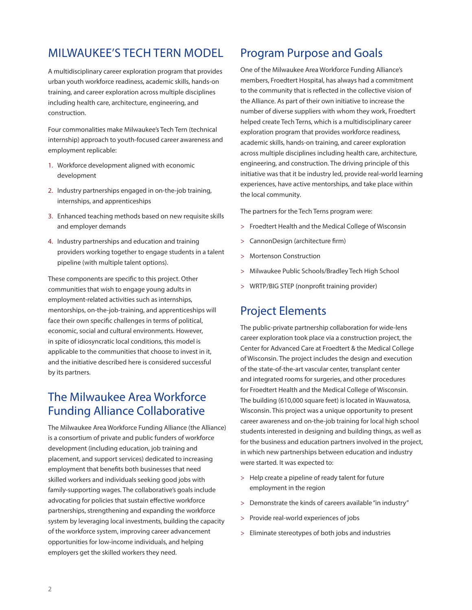#### MILWAUKEE'S TECH TERN MODEL

A multidisciplinary career exploration program that provides urban youth workforce readiness, academic skills, hands-on training, and career exploration across multiple disciplines including health care, architecture, engineering, and construction.

Four commonalities make Milwaukee's Tech Tern (technical internship) approach to youth-focused career awareness and employment replicable:

- 1. Workforce development aligned with economic development
- 2. Industry partnerships engaged in on-the-job training, internships, and apprenticeships
- 3. Enhanced teaching methods based on new requisite skills and employer demands
- 4. Industry partnerships and education and training providers working together to engage students in a talent pipeline (with multiple talent options).

These components are specific to this project. Other communities that wish to engage young adults in employment-related activities such as internships, mentorships, on-the-job-training, and apprenticeships will face their own specific challenges in terms of political, economic, social and cultural environments. However, in spite of idiosyncratic local conditions, this model is applicable to the communities that choose to invest in it, and the initiative described here is considered successful by its partners.

#### The Milwaukee Area Workforce Funding Alliance Collaborative

The Milwaukee Area Workforce Funding Alliance (the Alliance) is a consortium of private and public funders of workforce development (including education, job training and placement, and support services) dedicated to increasing employment that benefits both businesses that need skilled workers and individuals seeking good jobs with family-supporting wages. The collaborative's goals include advocating for policies that sustain effective workforce partnerships, strengthening and expanding the workforce system by leveraging local investments, building the capacity of the workforce system, improving career advancement opportunities for low-income individuals, and helping employers get the skilled workers they need.

#### Program Purpose and Goals

One of the Milwaukee Area Workforce Funding Alliance's members, Froedtert Hospital, has always had a commitment to the community that is reflected in the collective vision of the Alliance. As part of their own initiative to increase the number of diverse suppliers with whom they work, Froedtert helped create Tech Terns, which is a multidisciplinary career exploration program that provides workforce readiness, academic skills, hands-on training, and career exploration across multiple disciplines including health care, architecture, engineering, and construction. The driving principle of this initiative was that it be industry led, provide real-world learning experiences, have active mentorships, and take place within the local community.

The partners for the Tech Terns program were:

- > Froedtert Health and the Medical College of Wisconsin
- > CannonDesign (architecture firm)
- > Mortenson Construction
- > Milwaukee Public Schools/Bradley Tech High School
- > WRTP/BIG STEP (nonprofit training provider)

#### Project Elements

The public-private partnership collaboration for wide-lens career exploration took place via a construction project, the Center for Advanced Care at Froedtert & the Medical College of Wisconsin. The project includes the design and execution of the state-of-the-art vascular center, transplant center and integrated rooms for surgeries, and other procedures for Froedtert Health and the Medical College of Wisconsin. The building (610,000 square feet) is located in Wauwatosa, Wisconsin. This project was a unique opportunity to present career awareness and on-the-job training for local high school students interested in designing and building things, as well as for the business and education partners involved in the project, in which new partnerships between education and industry were started. It was expected to:

- > Help create a pipeline of ready talent for future employment in the region
- > Demonstrate the kinds of careers available "in industry"
- > Provide real-world experiences of jobs
- > Eliminate stereotypes of both jobs and industries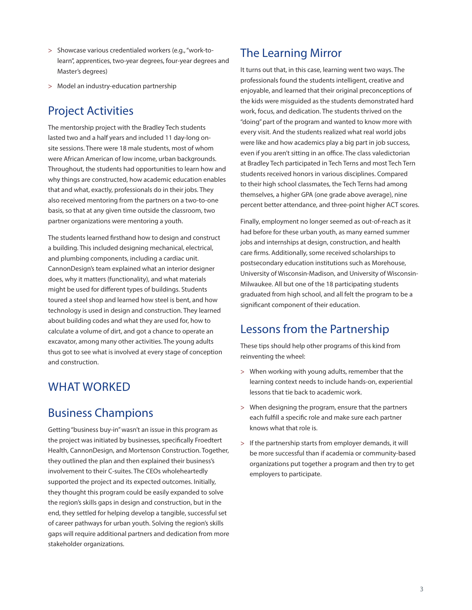- > Showcase various credentialed workers (e.g., "work-tolearn", apprentices, two-year degrees, four-year degrees and Master's degrees)
- > Model an industry-education partnership

#### Project Activities

The mentorship project with the Bradley Tech students lasted two and a half years and included 11 day-long onsite sessions. There were 18 male students, most of whom were African American of low income, urban backgrounds. Throughout, the students had opportunities to learn how and why things are constructed, how academic education enables that and what, exactly, professionals do in their jobs. They also received mentoring from the partners on a two-to-one basis, so that at any given time outside the classroom, two partner organizations were mentoring a youth.

The students learned firsthand how to design and construct a building. This included designing mechanical, electrical, and plumbing components, including a cardiac unit. CannonDesign's team explained what an interior designer does, why it matters (functionality), and what materials might be used for different types of buildings. Students toured a steel shop and learned how steel is bent, and how technology is used in design and construction. They learned about building codes and what they are used for, how to calculate a volume of dirt, and got a chance to operate an excavator, among many other activities. The young adults thus got to see what is involved at every stage of conception and construction.

#### WHAT WORKED

#### Business Champions

Getting "business buy-in" wasn't an issue in this program as the project was initiated by businesses, specifically Froedtert Health, CannonDesign, and Mortenson Construction. Together, they outlined the plan and then explained their business's involvement to their C-suites. The CEOs wholeheartedly supported the project and its expected outcomes. Initially, they thought this program could be easily expanded to solve the region's skills gaps in design and construction, but in the end, they settled for helping develop a tangible, successful set of career pathways for urban youth. Solving the region's skills gaps will require additional partners and dedication from more stakeholder organizations.

#### The Learning Mirror

It turns out that, in this case, learning went two ways. The professionals found the students intelligent, creative and enjoyable, and learned that their original preconceptions of the kids were misguided as the students demonstrated hard work, focus, and dedication. The students thrived on the "doing" part of the program and wanted to know more with every visit. And the students realized what real world jobs were like and how academics play a big part in job success, even if you aren't sitting in an office. The class valedictorian at Bradley Tech participated in Tech Terns and most Tech Tern students received honors in various disciplines. Compared to their high school classmates, the Tech Terns had among themselves, a higher GPA (one grade above average), nine percent better attendance, and three-point higher ACT scores.

Finally, employment no longer seemed as out-of-reach as it had before for these urban youth, as many earned summer jobs and internships at design, construction, and health care firms. Additionally, some received scholarships to postsecondary education institutions such as Morehouse, University of Wisconsin-Madison, and University of Wisconsin-Milwaukee. All but one of the 18 participating students graduated from high school, and all felt the program to be a significant component of their education.

#### Lessons from the Partnership

These tips should help other programs of this kind from reinventing the wheel:

- > When working with young adults, remember that the learning context needs to include hands-on, experiential lessons that tie back to academic work.
- > When designing the program, ensure that the partners each fulfill a specific role and make sure each partner knows what that role is.
- > If the partnership starts from employer demands, it will be more successful than if academia or community-based organizations put together a program and then try to get employers to participate.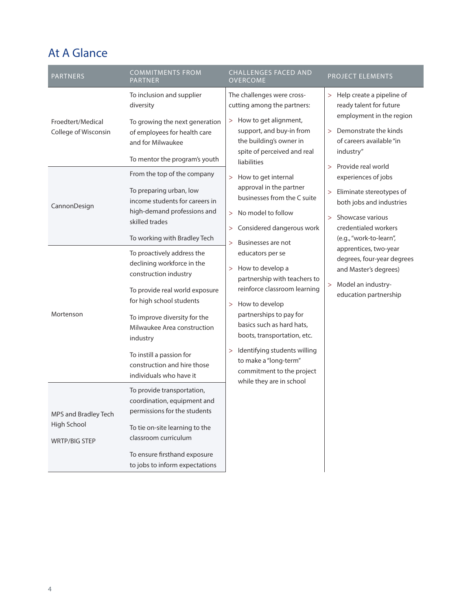### At A Glance

| <b>PARTNERS</b>                                             | <b>COMMITMENTS FROM</b><br><b>PARTNER</b>                                                                                                                                                                                                                                                                        | <b>CHALLENGES FACED AND</b><br><b>OVERCOME</b>                                                                                                                                                                                                                                                                                                                                                                                                                                                                                                                                                                                                                                                                                                                                                                                                                              | PROJECT ELEMENTS                                                                                                                                       |
|-------------------------------------------------------------|------------------------------------------------------------------------------------------------------------------------------------------------------------------------------------------------------------------------------------------------------------------------------------------------------------------|-----------------------------------------------------------------------------------------------------------------------------------------------------------------------------------------------------------------------------------------------------------------------------------------------------------------------------------------------------------------------------------------------------------------------------------------------------------------------------------------------------------------------------------------------------------------------------------------------------------------------------------------------------------------------------------------------------------------------------------------------------------------------------------------------------------------------------------------------------------------------------|--------------------------------------------------------------------------------------------------------------------------------------------------------|
| Froedtert/Medical<br>College of Wisconsin                   | To inclusion and supplier<br>diversity<br>To growing the next generation<br>of employees for health care<br>and for Milwaukee<br>To mentor the program's youth                                                                                                                                                   | The challenges were cross-<br>cutting among the partners:<br>> How to get alignment,<br>support, and buy-in from<br>the building's owner in<br>spite of perceived and real<br>liabilities                                                                                                                                                                                                                                                                                                                                                                                                                                                                                                                                                                                                                                                                                   | > Help create a pipeline of<br>ready talent for future<br>employment in the region<br>> Demonstrate the kinds<br>of careers available "in<br>industry" |
| CannonDesign                                                | From the top of the company<br>To preparing urban, low<br>income students for careers in<br>high-demand professions and<br>skilled trades<br>To working with Bradley Tech                                                                                                                                        | Provide real world<br>$\geq$<br>How to get internal<br>experiences of jobs<br>$\geq$<br>approval in the partner<br>> Eliminate stereotypes of<br>businesses from the C suite<br>both jobs and industries<br>No model to follow<br>><br>Showcase various<br>$\geq$<br>Considered dangerous work<br>credentialed workers<br>$\geq$<br>(e.g., "work-to-learn",<br>Businesses are not<br>><br>apprentices, two-year<br>educators per se<br>degrees, four-year degrees<br>> How to develop a<br>and Master's degrees)<br>partnership with teachers to<br>> Model an industry-<br>reinforce classroom learning<br>education partnership<br>How to develop<br>$\geq$<br>partnerships to pay for<br>basics such as hard hats,<br>boots, transportation, etc.<br>Identifying students willing<br>><br>to make a "long-term"<br>commitment to the project<br>while they are in school |                                                                                                                                                        |
| Mortenson                                                   | To proactively address the<br>declining workforce in the<br>construction industry<br>To provide real world exposure<br>for high school students<br>To improve diversity for the<br>Milwaukee Area construction<br>industry<br>To instill a passion for<br>construction and hire those<br>individuals who have it |                                                                                                                                                                                                                                                                                                                                                                                                                                                                                                                                                                                                                                                                                                                                                                                                                                                                             |                                                                                                                                                        |
| MPS and Bradley Tech<br>High School<br><b>WRTP/BIG STEP</b> | To provide transportation,<br>coordination, equipment and<br>permissions for the students<br>To tie on-site learning to the<br>classroom curriculum<br>To ensure firsthand exposure<br>to jobs to inform expectations                                                                                            |                                                                                                                                                                                                                                                                                                                                                                                                                                                                                                                                                                                                                                                                                                                                                                                                                                                                             |                                                                                                                                                        |